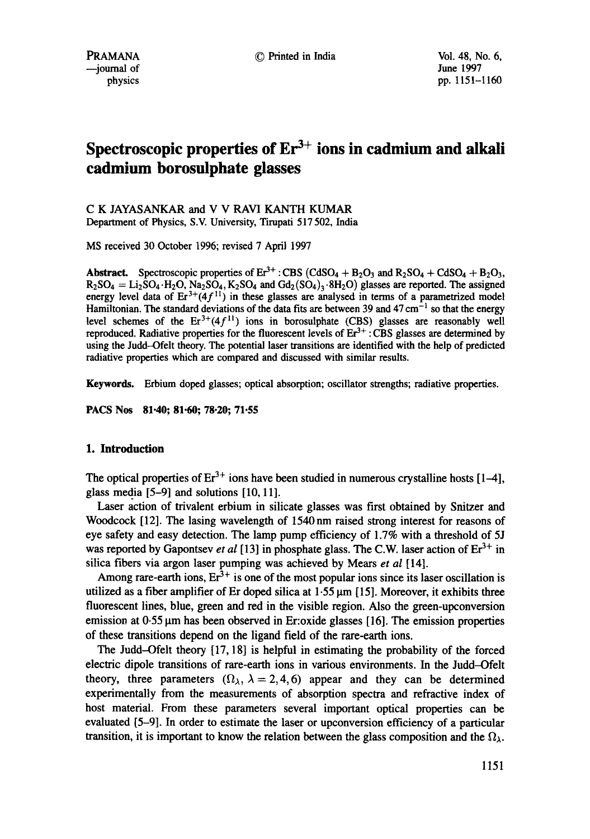# Spectroscopic properties of  $Er^{3+}$  ions in cadmium and alkali **cadmium borosulphate glasses**

C K JAYASANKAR and V V RAVI KANTH KUMAR Department of Physics, S.V. University, Tirupati 517 502, India

MS received 30 October 1996; revised 7 April 1997

Abstract. Spectroscopic properties of  $Er^{3+}$ : CBS (CdSO<sub>4</sub> + B<sub>2</sub>O<sub>3</sub> and R<sub>2</sub>SO<sub>4</sub> + CdSO<sub>4</sub> + B<sub>2</sub>O<sub>3</sub>,  $R_2SO_4 = Li_2SO_4 \cdot H_2O$ ,  $Na_2SO_4$ ,  $K_2SO_4$  and  $Gd_2(SO_4)_3 \cdot 8H_2O$  glasses are reported. The assigned energy level data of  $Er^{3+}(4f^{11})$  in these glasses are analysed in terms of a parametrized model Hamiltonian. The standard deviations of the data fits are between 39 and  $47 \text{ cm}^{-1}$  so that the energy level schemes of the  $Er^{3+}(4f^{11})$  ions in borosulphate (CBS) glasses are reasonably well reproduced. Radiative properties for the fluorescent levels of  $Er^{3+}$ : CBS glasses are determined by using the Judd--Ofelt theory. The potential laser transitions are identified with the help of predicted radiative properties which are compared and discussed with similar results.

**Keywords.** Erbium doped glasses; optical absorption; oscillator strengths; radiative properties.

**PACS Nos 81-40; 81.60; 78.20; 71.55** 

# **1. Introduction**

The optical properties of  $Er^{3+}$  ions have been studied in numerous crystalline hosts  $[1-4]$ , glass media [5-9] and solutions [10, 11].

Laser action of trivalent erbium in silicate glasses was first obtained by Snitzer and Woodcock [12]. The lasing wavelength of 1540nm raised strong interest for reasons of eye safety and easy detection. The lamp pump efficiency of 1.7% with a threshold of 5J was reported by Gapontsev *et al* [13] in phosphate glass. The C.W. laser action of  $Er^{3+}$  in silica fibers via argon laser pumping was achieved by Mears *et al* [14].

Among rare-earth ions,  $Er^{3+}$  is one of the most popular ions since its laser oscillation is utilized as a fiber amplifier of Er doped silica at  $1.55 \,\mu\text{m}$  [15]. Moreover, it exhibits three fluorescent lines, blue, green and red in the visible region. Also the green-upconversion emission at  $0.55 \mu m$  has been observed in Er:oxide glasses [16]. The emission properties of these transitions depend on the ligand field of the rare-earth ions.

The Judd-Ofelt theory [17, 18] is helpful in estimating the probability of the forced electric dipole transitions of rare-earth ions in various environments. In the Judd-Ofelt theory, three parameters  $(\Omega_{\lambda}, \lambda = 2, 4, 6)$  appear and they can be determined experimentally from the measurements of absorption spectra and refractive index of host material. From these parameters several important optical properties can be evaluated [5-9]. In order to estimate the laser or upconversion efficiency of a particular transition, it is important to know the relation between the glass composition and the  $\Omega_{\lambda}$ .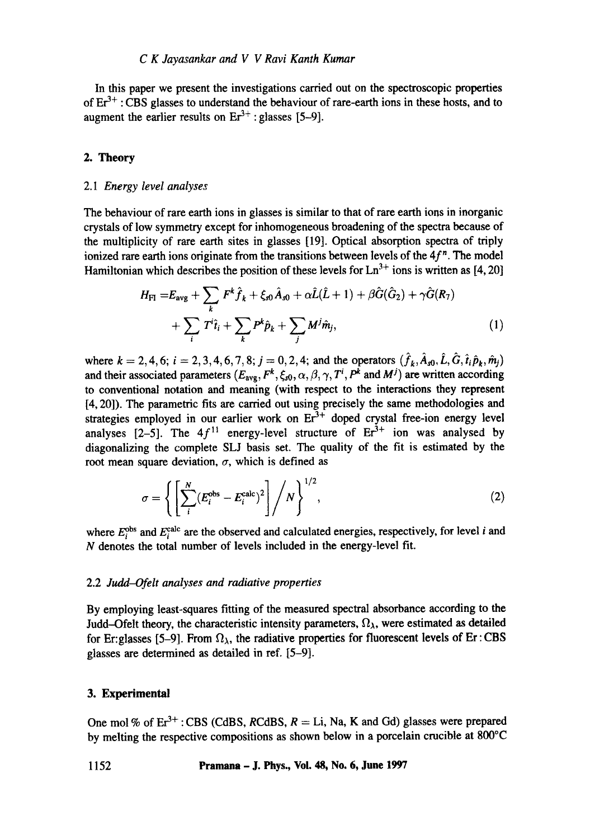In this paper we present the investigations carried out on the spectroscopic properties of  $Er^{3+}$ : CBS glasses to understand the behaviour of rare-earth ions in these hosts, and to augment the earlier results on  $Er^{3+}$ : glasses [5-9].

# 2. Theory

#### 2.1 *Energy level analyses*

The behaviour of rare earth ions in glasses is similar to that of rare earth ions in inorganic crystals of low symmetry except for inhomogeneous broadening of the spectra because of the multiplicity of rare earth sites in glasses [19]. Optical absorption spectra of triply ionized rare earth ions originate from the transitions between levels of the  $4f<sup>n</sup>$ . The model Hamiltonian which describes the position of these levels for  $Ln^{3+}$  ions is written as [4, 20]

$$
H_{\text{FI}} = E_{\text{avg}} + \sum_{k} F^{k} \hat{f}_{k} + \xi_{s0} \hat{A}_{s0} + \alpha \hat{L}(\hat{L} + 1) + \beta \hat{G}(\hat{G}_{2}) + \gamma \hat{G}(R_{7})
$$
  
+ 
$$
\sum_{i} T^{i} \hat{i}_{i} + \sum_{k} P^{k} \hat{p}_{k} + \sum_{j} M^{j} \hat{m}_{j}, \qquad (1)
$$

where  $k = 2, 4, 6$ ;  $i = 2, 3, 4, 6, 7, 8$ ;  $j = 0, 2, 4$ ; and the operators  $(\hat{f}_k, \hat{A}_{s0}, \hat{L}, \hat{G}, \hat{t}_i \hat{p}_k, \hat{m}_j)$ and their associated parameters  $(E_{avg}, F^k, \xi_{s0}, \alpha, \beta, \gamma, T^i, P^k$  and  $M^j)$  are written according to conventional notation and meaning (with respect to the interactions they represent [4, 20]). The parametric fits are carried out using precisely the same methodologies and strategies employed in our earlier work on  $Er<sup>3+</sup>$  doped crystal free-ion energy level analyses [2-5]. The  $4f<sup>11</sup>$  energy-level structure of  $Er<sup>3+</sup>$  ion was analysed by diagonalizing the complete SLJ basis set. The quality of the fit is estimated by the root mean square deviation,  $\sigma$ , which is defined as

$$
\sigma = \left\{ \left[ \sum_{i}^{N} (E_i^{\text{obs}} - E_i^{\text{calc}})^2 \right] / N \right\}^{1/2},\tag{2}
$$

where  $E_i^{\text{obs}}$  and  $E_i^{\text{calc}}$  are the observed and calculated energies, respectively, for level i and N denotes the total number of levels included in the energy-level fit.

## 2.2 *Judd-Ofelt analyses and radiative properties*

By employing least-squares fitting of the measured spectral absorbance according to the Judd-Ofelt theory, the characteristic intensity parameters,  $\Omega_{\lambda}$ , were estimated as detailed for Er:glasses [5-9]. From  $\Omega_{\lambda}$ , the radiative properties for fluorescent levels of Er : CBS glasses are determined as detailed in ref. [5-9].

# **3. Experimental**

One mol % of  $Er^{3+}$ : CBS (CdBS, RCdBS,  $R = Li$ , Na, K and Gd) glasses were prepared by melting the respective compositions as shown below in a porcelain crucible at 800°C

### **1152 Pramana - J. Phys., Vol. 48, No. 6, June 1997**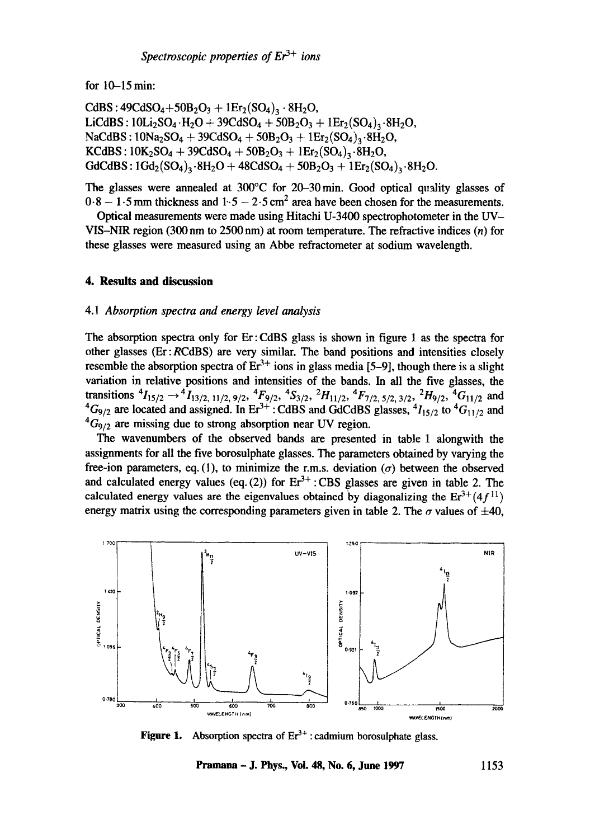for  $10-15$  min:

CdBS:  $49CdSO_4 + 50B_2O_3 + 1Er_2(SO_4)_3.8H_2O,$ LiCdBS :  $10Li_2SO_4 \cdot H_2O + 39CdSO_4 + 50B_2O_3 + 1Er_2(SO_4)_{2} \cdot 8H_2O$  $NaCdBS : 10Na<sub>2</sub>SO<sub>4</sub> + 39CdSO<sub>4</sub> + 50B<sub>2</sub>O<sub>3</sub> + 1Er<sub>2</sub>(SO<sub>4</sub>)<sub>3</sub>·8H<sub>2</sub>O,$  $KGBS: 10K<sub>2</sub>SO<sub>4</sub> + 39CdSO<sub>4</sub> + 50B<sub>2</sub>O<sub>3</sub> + 1Er<sub>2</sub>(SO<sub>4</sub>)<sub>3</sub>·8H<sub>2</sub>O,$  $GdCdBS: 1Gd_{2}(SO_{4})_{3}\cdot 8H_{2}O + 48CdSO_{4} + 50B_{2}O_{3} + 1Er_{2}(SO_{4})_{3}\cdot 8H_{2}O.$ 

The glasses were annealed at 300°C for 20-30min. Good optical quality glasses of  $0.8 - 1.5$  mm thickness and  $1.5 - 2.5$  cm<sup>2</sup> area have been chosen for the measurements.

Optical measurements were made using Hitachi U-3400 spectrophotometer in the UV-VIS-NIR region (300 nm to 2500 nm) at room temperature. The refractive indices (n) for these glasses were measured using an Abbe refractometer at sodium wavelength.

## **4. Results and discussion**

#### 4.1 *Absorption spectra and energy level analysis*

The absorption spectra only for Er:CdBS glass is shown in figure 1 as the spectra for other glasses (Er:RCdBS) are very similar. The band positions and intensities closely resemble the absorption spectra of  $Er^{3+}$  ions in glass media [5-9], though there is a slight variation in relative positions and intensities of the bands. In all the five glasses, the transitions  ${}^4I_{15/2} \rightarrow {}^4I_{13/2, 11/2, 9/2}$ ,  ${}^4F_{9/2}$ ,  ${}^4S_{3/2}$ ,  ${}^2H_{11/2}$ ,  ${}^4F_{7/2, 5/2, 3/2}$ ,  ${}^2H_{9/2}$ ,  ${}^4G_{11/2}$  and  ${}^{4}G_{9/2}$  are located and assigned. In Er<sup>5+</sup> : CdBS and GdCdBS glasses,  ${}^{4}I_{15/2}$  to  ${}^{4}G_{11/2}$  and  ${}^4G_{9/2}$  are missing due to strong absorption near UV region.

The wavenumbers of the observed bands are presented in table 1 alongwith the assignments for all the five borosulphate glasses. The parameters obtained by varying the free-ion parameters, eq. (1), to minimize the r.m.s. deviation  $(\sigma)$  between the observed and calculated energy values (eq. (2)) for  $Er^{3+}$  : CBS glasses are given in table 2. The calculated energy values are the eigenvalues obtained by diagonalizing the  $E r^{3+}(4f^{11})$ energy matrix using the corresponding parameters given in table 2. The  $\sigma$  values of  $\pm 40$ ,



**Figure 1.**  Absorption spectra of  $Er^{3+}$ : cadmium borosulphate glass.

**Pramana - J. Phys., Voi. 48, No. 6, June 1997 1153**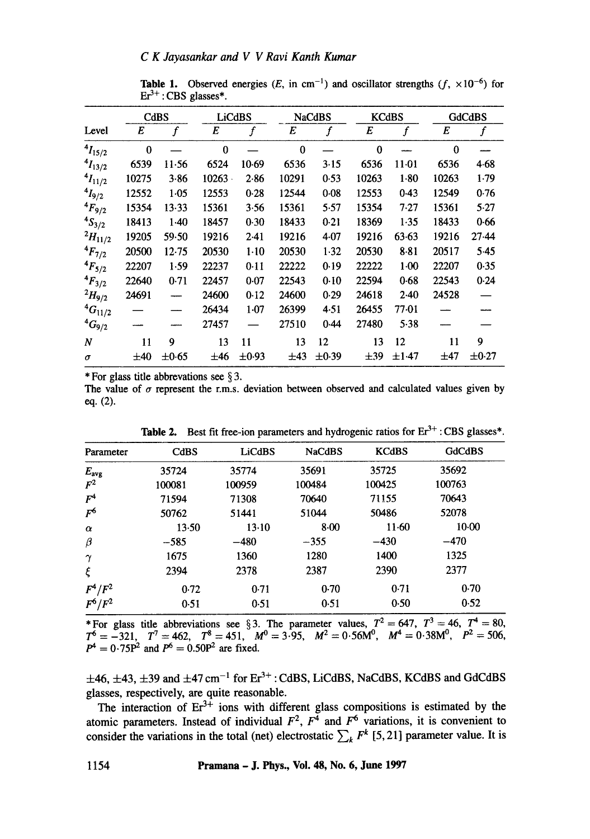# *C K Jayasankar and V V Ravi Kanth Kumar*

|                |              | CdBS             |           | LiCdBS           |          | <b>NaCdBS</b>    |          | <b>KCdBS</b>     |              | <b>GdCdBS</b>    |  |
|----------------|--------------|------------------|-----------|------------------|----------|------------------|----------|------------------|--------------|------------------|--|
| Level          | E            | $\boldsymbol{f}$ | E         | $\boldsymbol{f}$ | E        | $\boldsymbol{f}$ | E        | $\boldsymbol{f}$ | E            | $\boldsymbol{f}$ |  |
| $^{4}I_{15/2}$ | $\mathbf{0}$ |                  | $\bf{0}$  |                  | $\Omega$ |                  | $\bf{0}$ |                  | $\mathbf{0}$ |                  |  |
| $4I_{13/2}$    | 6539         | $11-56$          | 6524      | 10.69            | 6536     | 3.15             | 6536     | 11-01            | 6536         | 4.68             |  |
| $4I_{11/2}$    | 10275        | 3.86             | $10263 -$ | 2.86             | 10291    | 0.53             | 10263    | 1.80             | 10263        | 1.79             |  |
| $^{4}I_{9/2}$  | 12552        | 1.05             | 12553     | 0.28             | 12544    | 0.08             | 12553    | 0.43             | 12549        | 0.76             |  |
| $^{4}F_{9/2}$  | 15354        | $13-33$          | 15361     | 3.56             | 15361    | 5.57             | 15354    | 7.27             | 15361        | 5.27             |  |
| $^{4}S_{3/2}$  | 18413        | $1-40$           | 18457     | 0.30             | 18433    | 0.21             | 18369    | 1.35             | 18433        | 0.66             |  |
| $^{2}H_{11/2}$ | 19205        | 59.50            | 19216     | $2-41$           | 19216    | 4.07             | 19216    | 63.63            | 19216        | 27.44            |  |
| $^{4}F_{7/2}$  | 20500        | 12.75            | 20530     | $1-10$           | 20530    | 1.32             | 20530    | $8 - 81$         | 20517        | $5-45$           |  |
| $4F_{5/2}$     | 22207        | 1.59             | 22237     | 0.11             | 22222    | 0.19             | 22222    | $1-00$           | 22207        | 0.35             |  |
| $4F_{3/2}$     | 22640        | 0.71             | 22457     | 0.07             | 22543    | 0.10             | 22594    | 0.68             | 22543        | 0.24             |  |
| $^{2}H_{9/2}$  | 24691        |                  | 24600     | 0.12             | 24600    | 0.29             | 24618    | 2.40             | 24528        |                  |  |
| ${}^4G_{11/2}$ |              |                  | 26434     | $1-07$           | 26399    | 4.51             | 26455    | 77.01            |              |                  |  |
| $^{4}G_{9/2}$  |              |                  | 27457     |                  | 27510    | 0.44             | 27480    | 5.38             |              |                  |  |
| N              | 11           | 9                | 13        | 11               | 13       | 12               | 13       | 12               | 11           | 9                |  |
| $\sigma$       | $\pm 40$     | $\pm 0.65$       | ±46       | $\pm 0.93$       | ±43      | $\pm 0.39$       | $\pm 39$ | $\pm 1.47$       | $\pm 47$     | $\pm 0.27$       |  |

**Table 1.** Observed energies (E, in cm<sup>-1</sup>) and oscillator strengths ( $f$ ,  $\times 10^{-6}$ ) for  $Er<sup>3+</sup>: CBS$  glasses\*.

\* For glass title abbrevations see § 3.

The value of  $\sigma$  represent the r.m.s. deviation between observed and calculated values given by eq. (2).

| Parameter      | CdBS    | <b>LiCdBS</b> | <b>NaCdBS</b> | <b>KCdBS</b> | <b>GdCdBS</b> |
|----------------|---------|---------------|---------------|--------------|---------------|
| $E_{\rm avg}$  | 35724   | 35774         | 35691         | 35725        | 35692         |
| $\mathbf{F}^2$ | 100081  | 100959        | 100484        | 100425       | 100763        |
| $F^4$          | 71594   | 71308         | 70640         | 71155        | 70643         |
| $F^6$          | 50762   | 51441         | 51044         | 50486        | 52078         |
| $\alpha$       | $13-50$ | $13-10$       | 8.00          | $11-60$      | $10-00$       |
| β              | $-585$  | $-480$        | $-355$        | $-430$       | $-470$        |
| $\gamma$       | 1675    | 1360          | 1280          | 1400         | 1325          |
| ξ              | 2394    | 2378          | 2387          | 2390         | 2377          |
| $F^4/F^2$      | 0.72    | 0.71          | 0.70          | 0.71         | 0.70          |
| $F^6/F^2$      | 0.51    | 0.51          | 0.51          | 0.50         | 0.52          |

**Table 2.** Best fit free-ion parameters and hydrogenic ratios for  $Er^{3+}$ : CBS glasses\*.

\* For glass title abbreviations see § 3. The parameter values,  $T^2 = 647$ ,  $T^3 = 46$ ,  $T^4 = 80$ ,  $T^6=-321, T^7=462, T^8=451, M^0=3.95, M^2=0.56M^0, M^4=0.38M^0, P^2=506,$  $P^4 = 0.75P^2$  and  $P^6 = 0.50P^2$  are fixed.

 $\pm$ 46,  $\pm$ 43,  $\pm$ 39 and  $\pm$ 47 cm<sup>-1</sup> for Er<sup>3+</sup> : CdBS, LiCdBS, NaCdBS, KCdBS and GdCdBS glasses, respectively, are quite reasonable.

The interaction of  $Er^{3+}$  ions with different glass compositions is estimated by the atomic parameters. Instead of individual  $F^2$ ,  $F^4$  and  $F^6$  variations, it is convenient to consider the variations in the total (net) electrostatic  $\sum_{k} F^{k}$  [5, 21] parameter value. It is

**1154 Pramana - J. Phys., Vol. 48, No. 6, June 1997**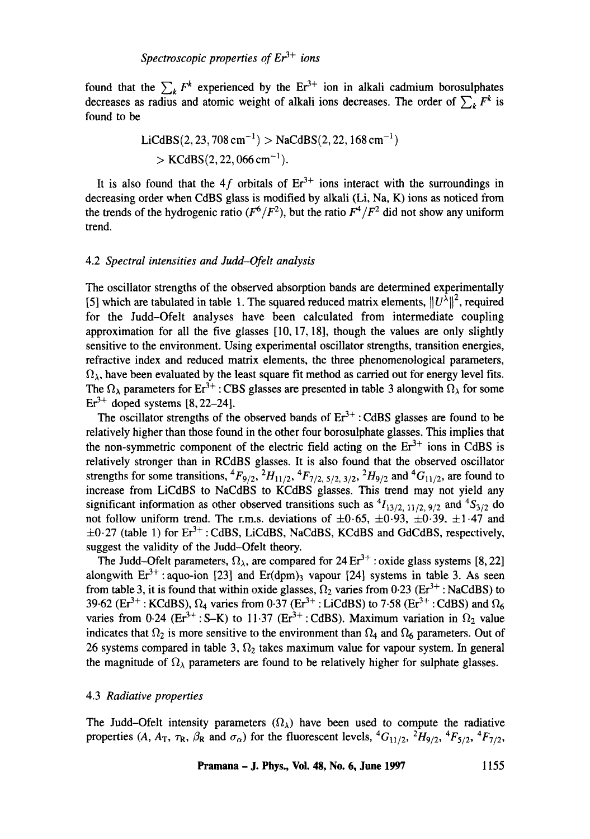found that the  $\sum_{k} F^{k}$  experienced by the Er<sup>3+</sup> ion in alkali cadmium borosulphates decreases as radius and atomic weight of alkali ions decreases. The order of  $\sum_{k} F^{k}$  is found to be

$$
\text{LiCdBS}(2, 23, 708 \text{ cm}^{-1}) > \text{NaCdBS}(2, 22, 168 \text{ cm}^{-1}) \\
> \text{KCdBS}(2, 22, 066 \text{ cm}^{-1}).
$$

It is also found that the 4f orbitals of  $Er^{3+}$  ions interact with the surroundings in decreasing order when CdBS glass is modified by alkali (Li, Na, K) ions as noticed from the trends of the hydrogenic ratio  $(F^6/F^2)$ , but the ratio  $F^4/F^2$  did not show any uniform trend.

## 4.2 *Spectral intensities and Judd-Ofelt analysis*

The oscillator strengths of the observed absorption bands are determined experimentally [5] which are tabulated in table 1. The squared reduced matrix elements,  $||U^{\lambda}||^2$ , required for the Judd-Ofelt analyses have been calculated from intermediate coupling approximation for all the five glasses  $[10, 17, 18]$ , though the values are only slightly sensitive to the environment. Using experimental oscillator strengths, transition energies, refractive index and reduced matrix elements, the three phenomenological parameters,  $\Omega_{\lambda}$ , have been evaluated by the least square fit method as carried out for energy level fits. The  $\Omega_{\lambda}$  parameters for Er<sup>3+</sup> : CBS glasses are presented in table 3 alongwith  $\Omega_{\lambda}$  for some  $Er<sup>3+</sup>$  doped systems [8, 22–24].

The oscillator strengths of the observed bands of  $Er^{3+}$ : CdBS glasses are found to be relatively higher than those found in the other four borosulphate glasses. This implies that the non-symmetric component of the electric field acting on the  $Er<sup>3+</sup>$  ions in CdBS is relatively stronger than in RCdBS glasses. It is also found that the observed oscillator strengths for some transitions,  ${}^4F_{9/2}$ ,  ${}^2H_{11/2}$ ,  ${}^4F_{7/2}$ ,  ${}_{5/2}$ ,  ${}_{3/2}$ ,  ${}^2H_{9/2}$  and  ${}^4G_{11/2}$ , are found to increase from LiCdBS to NaCdBS to KCdBS glasses. This trend may not yield any significant information as other observed transitions such as  $^{4}I_{13/2, 11/2, 9/2}$  and  $^{4}S_{3/2}$  do not follow uniform trend. The r.m.s. deviations of  $\pm 0.65$ ,  $\pm 0.93$ ,  $\pm 0.39$ ,  $\pm 1.47$  and  $\pm 0.27$  (table 1) for Er<sup>3+</sup>: CdBS, LiCdBS, NaCdBS, KCdBS and GdCdBS, respectively, suggest the validity of the Judd-Ofelt theory.

The Judd-Ofelt parameters,  $\Omega_{\lambda}$ , are compared for 24 Er<sup>3+</sup> : oxide glass systems [8, 22] alongwith  $Er^{3+}$ : aquo-ion [23] and Er(dpm)<sub>3</sub> vapour [24] systems in table 3. As seen from table 3, it is found that within oxide glasses,  $\Omega_2$  varies from 0.23 ( $Er^{3+}$ : NaCdBS) to 39.62 (Er<sup>3+</sup>: KCdBS),  $\Omega_4$  varies from 0.37 (Er<sup>3+</sup>: LiCdBS) to 7.58 (Er<sup>3+</sup>: CdBS) and  $\Omega_6$ varies from 0.24 (Er<sup>3+</sup>: S-K) to 11.37 (Er<sup>3+</sup>: CdBS). Maximum variation in  $\Omega_2$  value indicates that  $\Omega_2$  is more sensitive to the environment than  $\Omega_4$  and  $\Omega_6$  parameters. Out of 26 systems compared in table 3,  $\Omega_2$  takes maximum value for vapour system. In general the magnitude of  $\Omega_{\lambda}$  parameters are found to be relatively higher for sulphate glasses.

# 4.3 *Radiative properties*

The Judd-Ofelt intensity parameters  $(\Omega_{\lambda})$  have been used to compute the radiative properties (A,  $A_T$ ,  $\tau_R$ ,  $\beta_R$  and  $\sigma_\alpha$ ) for the fluorescent levels, <sup>4</sup>G<sub>11/2</sub>, <sup>2</sup>H<sub>9/2</sub>, <sup>4</sup>F<sub>5/2</sub>, <sup>4</sup>F<sub>7/2</sub>,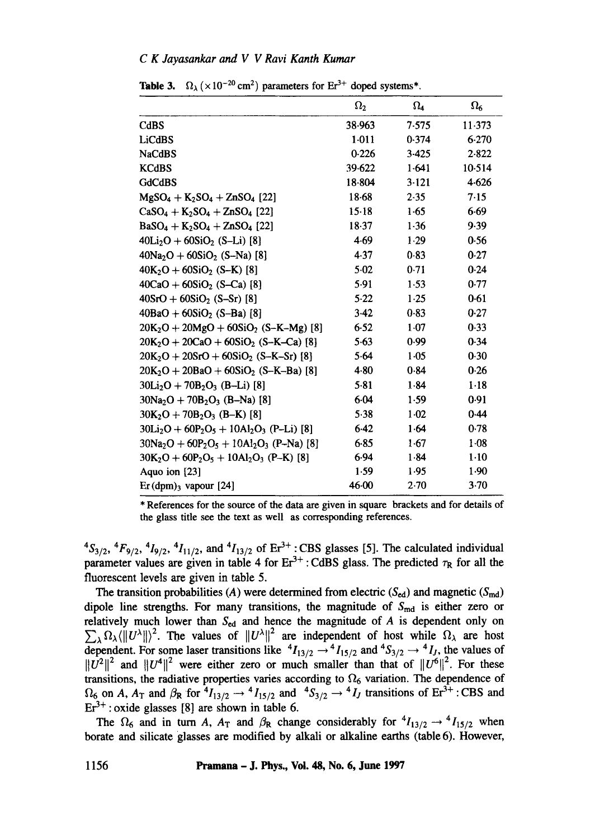# *C K Jayasankar and V V Ravi Kanth Kumar*

|                                         | $\Omega_2$ | $\Omega_4$ | $\Omega_{6}$ |
|-----------------------------------------|------------|------------|--------------|
| CdBS                                    | 38.963     | 7.575      | 11.373       |
| <b>LiCdBS</b>                           | $1-011$    | 0.374      | 6.270        |
| <b>NaCdBS</b>                           | 0.226      | 3.425      | 2.822        |
| <b>KCdBS</b>                            | 39.622     | 1.641      | 10.514       |
| <b>GdCdBS</b>                           | 18.804     | 3.121      | 4.626        |
| $MgSO_4 + K_2SO_4 + ZnSO_4$ [22]        | $18 - 68$  | 2.35       | 7.15         |
| $CaSO_4 + K_2SO_4 + ZnSO_4$ [22]        | 15.18      | 1.65       | 6.69         |
| $BaSO_4 + K_2SO_4 + ZnSO_4$ [22]        | 18.37      | 1.36       | 9.39         |
| $40Li2O + 60SiO2$ (S-Li) [8]            | 4.69       | 1.29       | 0.56         |
| $40Na2O + 60SiO2$ (S-Na) [8]            | 4.37       | 0.83       | 0.27         |
| $40K_2O + 60SiO_2$ (S-K) [8]            | 5.02       | 0.71       | 0.24         |
| $40CaO + 60SiO2$ (S-Ca) [8]             | 5.91       | 1.53       | 0.77         |
| $40SrO + 60SiO2$ (S-Sr) [8]             | 5.22       | 1.25       | 0.61         |
| $40BaO + 60SiO2$ (S-Ba) [8]             | $3-42$     | 0.83       | 0.27         |
| $20K_2O + 20MgO + 60SiO_2$ (S-K-Mg) [8] | 6.52       | $1-07$     | 0.33         |
| $20K2O + 20CaO + 60SiO2$ (S-K-Ca) [8]   | 5.63       | 0.99       | 0.34         |
| $20K_2O + 20SrO + 60SiO_2$ (S-K-Sr) [8] | 5.64       | 1.05       | 0.30         |
| $20K_2O + 20BaO + 60SiO_2$ (S-K-Ba) [8] | 4.80       | 0.84       | 0.26         |
| $30Li2O + 70B2O3$ (B-Li) [8]            | 5.81       | 1.84       | $1-18$       |
| $30Na2O + 70B2O3$ (B-Na) [8]            | 6.04       | 1.59       | 0.91         |
| $30K_2O + 70B_2O_3$ (B-K) [8]           | 5.38       | $1-02$     | 0.44         |
| $30Li2O + 60P2O5 + 10Al2O3$ (P-Li) [8]  | 6.42       | 1.64       | 0.78         |
| $30Na2O + 60P2O5 + 10Al2O3$ (P-Na) [8]  | 6.85       | 1.67       | $1-08$       |
| $30K2O + 60P2O5 + 10Al2O3$ (P–K) [8]    | 6.94       | 1.84       | $1-10$       |
| Aquo ion [23]                           | 1.59       | 1.95       | 1.90         |
| $Er(dpm)3$ vapour [24]                  | 46.00      | 2.70       | 3.70         |

**Table 3.**  $\Omega_{\lambda}$  ( $\times 10^{-20}$  cm<sup>2</sup>) parameters for Er<sup>3+</sup> doped systems\*.

\* References for the source of the data are given in square brackets and for details of the glass title see the text as well as corresponding references.

 ${}^{4}S_{3/2}$ ,  ${}^{4}F_{9/2}$ ,  ${}^{4}I_{9/2}$ ,  ${}^{4}I_{11/2}$ , and  ${}^{4}I_{13/2}$  of Er<sup>3+</sup> : CBS glasses [5]. The calculated individual parameter values are given in table 4 for  $Er^{3+}$ : CdBS glass. The predicted  $\tau_R$  for all the fluorescent levels are given in table 5.

The transition probabilities (A) were determined from electric ( $S_{ed}$ ) and magnetic ( $S_{md}$ ) dipole line strengths. For many transitions, the magnitude of  $S_{\text{md}}$  is either zero or relatively much lower than  $S_{ed}$  and hence the magnitude of A is dependent only on  $\sum_{\lambda} \Omega_{\lambda} (||U^{\lambda}||)^2$ . The values of  $||U^{\lambda}||^2$  are independent of host while  $\Omega_{\lambda}$  are host dependent. For some laser transitions like  ${}^4I_{13/2} \rightarrow {}^4I_{15/2}$  and  ${}^4S_{3/2} \rightarrow {}^4I_J$ , the values of  $||U^2||^2$  and  $||U^4||^2$  were either zero or much smaller than that of  $||U^0||^2$ . For these transitions, the radiative properties varies according to  $\Omega_6$  variation. The dependence of  $\Omega_6$  on A,  $A_T$  and  $\beta_R$  for  ${}^4I_{13/2} \rightarrow {}^4I_{15/2}$  and  ${}^4S_{3/2} \rightarrow {}^4I_J$  transitions of Er<sup>3+</sup> : CBS and  $Er<sup>3+</sup>$ : oxide glasses [8] are shown in table 6.

The  $\Omega_6$  and in turn A, A<sub>T</sub> and  $\beta_R$  change considerably for  $^4I_{13/2} \rightarrow ^4I_{15/2}$  when borate and silicate glasses are modified by alkali or alkaline earths (table 6). However,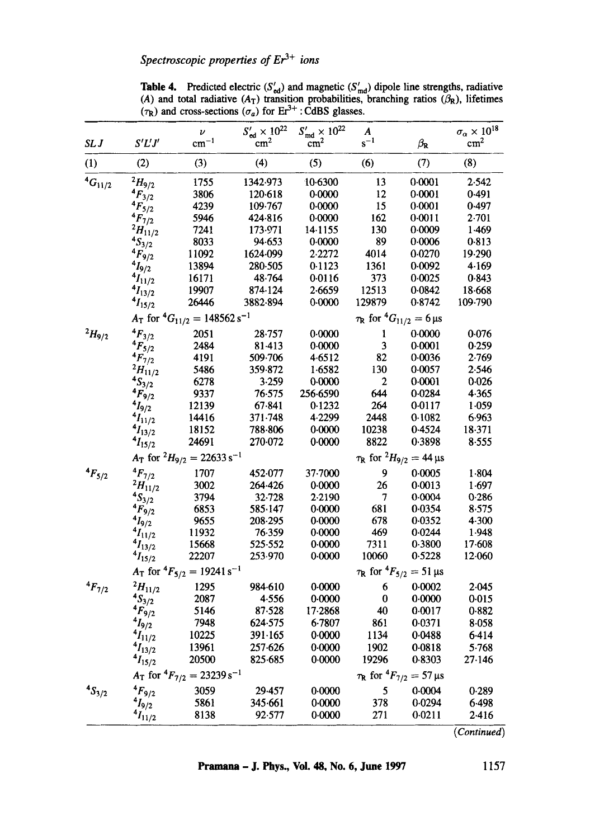**Table 4.** Predicted electric  $(S'_{\text{ed}})$  and magnetic  $(S'_{\text{md}})$  dipole line strengths, radiative (A) and total radiative ( $A_T$ ) transition probabilities, branching ratios ( $\beta_R$ ), lifetimes  $(\tau_R)$  and cross-sections  $(\sigma_a)$  for Er<sup>3+</sup> : CdBS glasses.

|                  |                 | ν                                        | $S'_{\rm ed}\times 10^{22}$ | $S'_{\text{md}} \times 10^{22}$ | $\boldsymbol{A}$                 |                                               | $\sigma_\alpha \times 10^{18}$ |
|------------------|-----------------|------------------------------------------|-----------------------------|---------------------------------|----------------------------------|-----------------------------------------------|--------------------------------|
| SL J             | S'L'J'          | $cm^{-1}$                                | $\rm cm^2$                  | cm <sup>2</sup>                 | $s^{-1}$                         | $\beta_{\rm R}$                               | cm <sup>2</sup>                |
| (1)              | (2)             | (3)                                      | (4)                         | (5)                             | (6)                              | (7)                                           | (8)                            |
| ${}^{4}G_{11/2}$ | $^{2}H_{9/2}$   | 1755                                     | 1342.973                    | 10-6300                         | 13                               | 0.0001                                        | 2.542                          |
|                  | $4F_{3/2}$      | 3806                                     | 120.618                     | 0.0000                          | 12                               | 0.0001                                        | 0.491                          |
|                  | $4F_{5/2}$      | 4239                                     | 109.767                     | 0.0000                          | 15                               | 0.0001                                        | 0.497                          |
|                  | $4F_{7/2}$      | 5946                                     | 424.816                     | 0.0000                          | 162                              | 0.0011                                        | 2.701                          |
|                  | $^{2}H_{11/2}$  | 7241                                     | 173.971                     | 14.1155                         | 130                              | 0.0009                                        | 1.469                          |
|                  | $4S_{3/2}$      | 8033                                     | 94.653                      | 0.0000                          | 89                               | 0.0006                                        | 0.813                          |
|                  | $4F_{9/2}$      | 11092                                    | 1624-099                    | 2.2272                          | 4014                             | 0.0270                                        | 19.290                         |
|                  | $4I_{9/2}$      | 13894                                    | 280-505                     | 0.1123                          | 1361                             | 0.0092                                        | 4.169                          |
|                  | $4I_{11/2}$     | 16171                                    | 48.764                      | 0.0116                          | 373                              | 0.0025                                        | 0.843                          |
|                  | $4I_{13/2}$     | 19907                                    | 874.124                     | 2.6659                          | 12513                            | 0.0842                                        | 18.668                         |
|                  | $4I_{15/2}$     | 26446                                    | 3882-894                    | 0.0000                          | 129879                           | 0.8742                                        | 109.790                        |
|                  |                 | $A_T$ for ${}^4G_{11/2} = 148562 s^{-1}$ |                             |                                 |                                  | $\tau_{\rm R}$ for ${}^4G_{11/2} = 6 \,\mu s$ |                                |
| $^{2}H_{9/2}$    | $4F_{3/2}$      | 2051                                     | $28 - 757$                  | 0.0000                          | $\mathbf{1}$                     | 0.0000                                        | 0.076                          |
|                  | $4F_{5/2}$      | 2484                                     | 81.413                      | 0.0000                          | 3                                | 0.0001                                        | 0.259                          |
|                  | $4F_{7/2}$      | 4191                                     | 509.706                     | 4.6512                          | 82                               | 0.0036                                        | 2.769                          |
|                  | $^{2}H_{11/2}$  | 5486                                     | 359.872                     | 1.6582                          | 130                              | 0.0057                                        | 2.546                          |
|                  | ${}^{4}S_{3/2}$ | 6278                                     | 3.259                       | 0.0000                          | 2                                | 0.0001                                        | 0.026                          |
|                  | $4F_{9/2}$      | 9337                                     | 76.575                      | 256-6590                        | 644                              | 0.0284                                        | 4.365                          |
|                  | $4I_{9/2}$      | 12139                                    | 67.841                      | 0.1232                          | 264                              | 0.0117                                        | 1.059                          |
|                  | $4I_{11/2}$     | 14416                                    | 371.748                     | 4.2299                          | 2448                             | 0.1082                                        | 6.963                          |
|                  | $4I_{13/2}$     | 18152                                    | 788.806                     | 0.0000                          | 10238                            | 0.4524                                        | 18.371                         |
|                  | $4I_{15/2}$     | 24691                                    | 270-072                     | 0.0000                          | 8822                             | 0.3898                                        | 8.555                          |
|                  |                 | $A_T$ for $^2H_{9/2} = 22633 s^{-1}$     |                             |                                 |                                  | $\tau_{\rm R}$ for $^2H_{9/2} = 44 \,\mu s$   |                                |
| $4F_{5/2}$       | $^{4}F_{7/2}$   | 1707                                     | 452.077                     | 37-7000                         | 9                                | 0.0005                                        | 1.804                          |
|                  | $^{2}H_{11/2}$  | 3002                                     | 264.426                     | 0.0000                          | 26                               | 0.0013                                        | 1.697                          |
|                  | $4S_{3/2}$      | 3794                                     | 32-728                      | 2.2190                          | 7                                | 0.0004                                        | 0.286                          |
|                  | $4F_{9/2}$      | 6853                                     | 585.147                     | 0.0000                          | 681                              | 0.0354                                        | 8.575                          |
|                  | $4I_{9/2}$      | 9655                                     | 208-295                     | 0.0000                          | 678                              | 0.0352                                        | 4.300                          |
|                  | $4I_{11/2}$     | 11932                                    | 76.359                      | 0.0000                          | 469                              | 0.0244                                        | 1.948                          |
|                  | $4I_{13/2}$     | 15668                                    | 525.552                     | 0.0000                          | 7311                             | 0.3800                                        | $17 - 608$                     |
|                  | $4I_{15/2}$     | 22207                                    | 253.970                     | 0.0000                          | 10060                            | 0.5228                                        | 12.060                         |
|                  |                 | $A_T$ for ${}^4F_{5/2} = 19241 s^{-1}$   |                             |                                 | $\tau_{\rm R}$ for ${}^4F_{5/2}$ | $= 51 \,\mu s$                                |                                |
| $4F_{7/2}$       | $^{2}H_{11/2}$  | 1295                                     | 984-610                     | 0.0000                          | 6                                | 0.0002                                        | 2.045                          |
|                  | $4S_{3/2}$      | 2087                                     | 4.556                       | 0.0000                          | $\bf{0}$                         | 0.0000                                        | 0.015                          |
|                  | $4F_{9/2}$      | 5146                                     | 87.528                      | 17.2868                         | 40                               | 0.0017                                        | 0.882                          |
|                  | $4I_{9/2}$      | 7948                                     | 624.575                     | 6.7807                          | 861                              | 0.0371                                        | 8.058                          |
|                  | $4I_{11/2}$     | 10225                                    | 391.165                     | 0.0000                          | 1134                             | 0.0488                                        | 6.414                          |
|                  | $^{4}I_{13/2}$  | 13961                                    | 257-626                     | 0.0000                          | 1902                             | 0.0818                                        | 5.768                          |
|                  | $4I_{15/2}$     | 20500                                    | 825.685                     | 0.0000                          | 19296                            | 0.8303                                        | 27.146                         |
|                  |                 | $A_T$ for ${}^4F_{7/2} = 23239 s^{-1}$   |                             |                                 |                                  | $\tau_{\rm R}$ for ${}^4F_{7/2} = 57 \,\mu s$ |                                |
| $4S_{3/2}$       | $4F_{9/2}$      | 3059                                     | 29.457                      | 0.0000                          | 5                                | 0.0004                                        | 0.289                          |
|                  | $4I_{9/2}$      | 5861                                     | 345.661                     | 0.0000                          | 378                              | 0.0294                                        | 6.498                          |
|                  | $4I_{11/2}$     | 8138                                     | 92.577                      | 0.0000                          | 271                              | 0.0211                                        | 2.416                          |
|                  |                 |                                          |                             |                                 |                                  |                                               | (Continued)                    |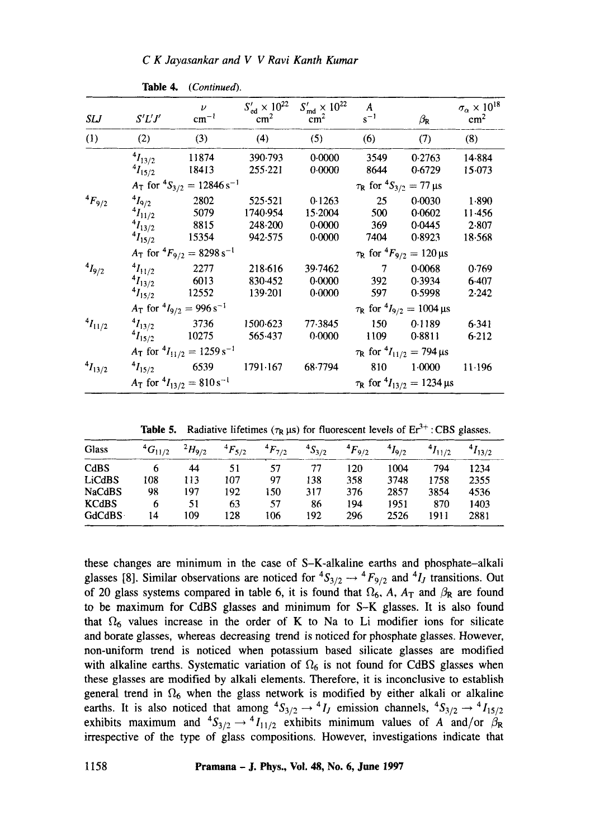*C K Jayasankar and V V Ravi Kanth Kumar* 

| SLJ            | S'L'J'         | $\boldsymbol{\nu}$<br>$cm^{-1}$        | $S'_{\text{ed}} \times 10^{22}$<br>$\text{cm}^2$ | $S'_{\text{md}} \times 10^{22}$<br>$\text{cm}^2$ | A<br>$s^{-1}$ | $\beta_{\rm R}$                                  | $\sigma_\alpha \times 10^{18}$<br>cm <sup>2</sup> |
|----------------|----------------|----------------------------------------|--------------------------------------------------|--------------------------------------------------|---------------|--------------------------------------------------|---------------------------------------------------|
| (1)            | (2)            | (3)                                    | (4)                                              | (5)                                              | (6)           | (7)                                              | (8)                                               |
|                | $^{4}I_{13/2}$ | 11874                                  | 390.793                                          | 0.0000                                           | 3549          | 0.2763                                           | 14.884                                            |
|                | $^{4}I_{15/2}$ | 18413                                  | 255.221                                          | 0.0000                                           | 8644          | 0.6729                                           | 15.073                                            |
|                |                | $A_T$ for ${}^4S_{3/2} = 12846 s^{-1}$ |                                                  |                                                  |               | $\tau_{\rm R}$ for ${}^4S_{3/2} = 77 \,\mu s$    |                                                   |
| $^{4}F_{9/2}$  | $^{4}I_{9/2}$  | 2802                                   | 525.521                                          | 0.1263                                           | 25            | 0.0030                                           | 1.890                                             |
|                | $^{4}I_{11/2}$ | 5079                                   | 1740.954                                         | 15.2004                                          | 500           | 0.0602                                           | 11.456                                            |
|                | $^{4}I_{13/2}$ | 8815                                   | 248.200                                          | 0.0000                                           | 369           | 0.0445                                           | 2.807                                             |
|                | $^{4}I_{15/2}$ | 15354                                  | 942-575                                          | 0.0000                                           | 7404          | 0.8923                                           | 18.568                                            |
|                |                | $A_T$ for ${}^4F_{9/2} = 8298 s^{-1}$  |                                                  |                                                  |               | $\tau_{\rm R}$ for ${}^4F_{9/2} = 120 \,\mu s$   |                                                   |
| $^{4}I_{9/2}$  | $^{4}I_{11/2}$ | 2277                                   | 218.616                                          | 39.7462                                          | 7             | 0.0068                                           | 0.769                                             |
|                | $^{4}I_{13/2}$ | 6013                                   | 830.452                                          | 0.0000                                           | 392           | 0.3934                                           | 6.407                                             |
|                | $^{4}I_{15/2}$ | 12552                                  | 139.201                                          | 0.0000                                           | 597           | 0.5998                                           | 2.242                                             |
|                |                | $A_T$ for $^{4}I_{9/2} = 996 s^{-1}$   |                                                  |                                                  |               | $\tau_{\rm R}$ for $^{4}I_{9/2} = 1004 \,\mu s$  |                                                   |
| $^{4}I_{11/2}$ | $^{4}I_{13/2}$ | 3736                                   | 1500-623                                         | 77.3845                                          | 150           | 0.1189                                           | 6.341                                             |
|                | $^{4}I_{15/2}$ | 10275                                  | 565.437                                          | 0.0000                                           | 1109          | 0.8811                                           | $6-212$                                           |
|                |                | $A_T$ for $^{4}I_{11/2} = 1259 s^{-1}$ |                                                  |                                                  |               | $\tau_{\rm R}$ for $^{4}I_{11/2}$ = 794 µs       |                                                   |
| $^{4}I_{13/2}$ | $^{4}I_{15/2}$ | 6539                                   | 1791.167                                         | 68.7794                                          | 810           | 1.0000                                           | 11.196                                            |
|                |                | $A_T$ for $^{4}I_{13/2} = 810 s^{-1}$  |                                                  |                                                  |               | $\tau_{\rm R}$ for $^{4}I_{13/2} = 1234 \,\mu s$ |                                                   |

**Table** 4. *(Continued).* 

**Table 5.** Radiative lifetimes  $(\tau_R \mu s)$  for fluorescent levels of  $Er^{3+}$ : CBS glasses.

| Glass                         | $^{4}G_{11/2}$ | $^{2}H_{9/2}$ | $^{4}F_{5/2}$ | $^{4}F_{7/2}$ | $^{4}S_{3/2}$ | $^{4}F_{9/2}$ | $^{4}I_{9/2}$ | $^{4}I_{11/2}$ | $^{4}I_{13/2}$ |
|-------------------------------|----------------|---------------|---------------|---------------|---------------|---------------|---------------|----------------|----------------|
| C <sub>d</sub> B <sub>S</sub> |                | 44            | 51            | 57            | 77            | 120           | 1004          | 794            | 1234           |
| <b>LiCdBS</b>                 | 108            | 113           | 107           | 97            | 138           | 358           | 3748          | 1758           | 2355           |
| <b>NaCdBS</b>                 | 98             | 197           | 192           | 150           | 317           | 376           | 2857          | 3854           | 4536           |
| <b>KCdBS</b>                  | 6              | 51            | 63            | 57            | 86            | 194           | 1951          | 870            | 1403           |
| GdCdBS ·                      | 14             | 109           | 128           | 106           | 192           | 296           | 2526          | 1911           | 2881           |

these changes are minimum in the case of S-K-alkaline earths and phosphate-alkali glasses [8]. Similar observations are noticed for  ${}^4S_{3/2} \rightarrow {}^4F_{9/2}$  and  ${}^4I_J$  transitions. Out of 20 glass systems compared in table 6, it is found that  $\Omega_6$ , A,  $A_T$  and  $\beta_R$  are found to be maximum for CdBS glasses and minimum for S-K glasses. It is also found that  $\Omega_6$  values increase in the order of K to Na to Li modifier ions for silicate and borate glasses, whereas decreasing trend is noticed for phosphate glasses. However, non-uniform trend is noticed when potassium based silicate glasses are modified with alkaline earths. Systematic variation of  $\Omega_6$  is not found for CdBS glasses when these glasses are modified by alkali elements. Therefore, it is inconclusive to establish general trend in  $\Omega_6$  when the glass network is modified by either alkali or alkaline earths. It is also noticed that among  ${}^4S_{3/2} \rightarrow {}^4I_J$  emission channels,  ${}^4S_{3/2} \rightarrow {}^4I_{15/2}$ exhibits maximum and  ${}^4S_{3/2} \rightarrow {}^4I_{11/2}^{5}$  exhibits minimum values of A and/or  ${}^5R$ irrespective of the type of glass compositions. However, investigations indicate that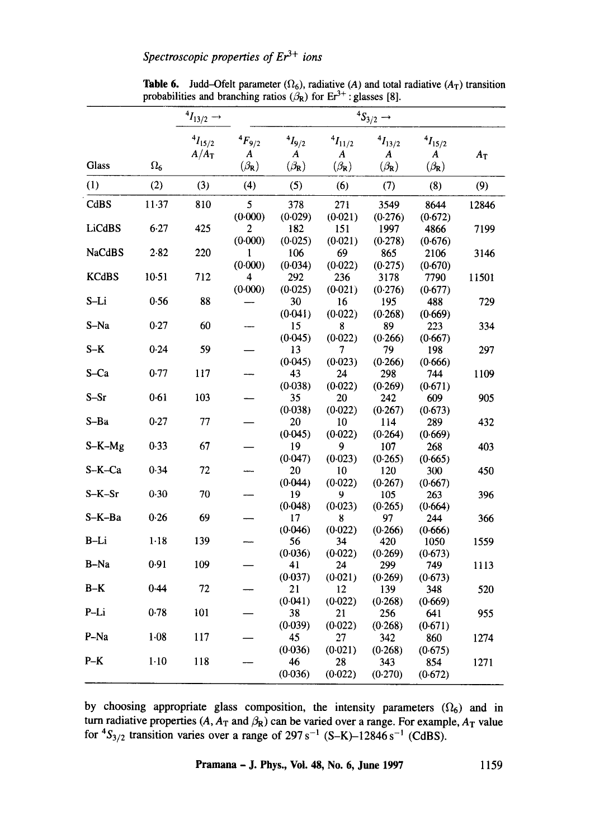|               |            | $^{4}I_{13/2}$ $\rightarrow$ |                                         | ${}^4S_{3/2}$ $\rightarrow$                            |                              |                            |                            |       |  |  |
|---------------|------------|------------------------------|-----------------------------------------|--------------------------------------------------------|------------------------------|----------------------------|----------------------------|-------|--|--|
| <b>Glass</b>  | $\Omega_6$ | $^{4}I_{15/2}$<br>$A/A_T$    | $^{4}F_{9/2}$<br>A<br>$(\beta_{\rm R})$ | $^{4}I_{9/2}$<br>$\boldsymbol{A}$<br>$(\beta_{\rm R})$ | $^{4}I_{11/2}$<br>A          | $^{4}I_{13/2}$<br>A        | $^{4}I_{15/2}$<br>A        | $A_T$ |  |  |
|               |            |                              |                                         |                                                        | $(\beta_{\mathbf{R}})$       | $(\beta_{\rm R})$          | $(\beta_{\rm R})$          |       |  |  |
| (1)           | (2)        | (3)                          | (4)                                     | (5)                                                    | (6)                          | (7)                        | (8)                        | (9)   |  |  |
| CdBS          | $11-37$    | 810                          | 5<br>(0.000)                            | 378                                                    | 271                          | 3549                       | 8644                       | 12846 |  |  |
| LiCdBS        | 6.27       | 425                          | 2<br>(0.000)                            | (0.029)<br>182<br>(0.025)                              | (0.021)<br>151<br>(0.021)    | (0.276)<br>1997<br>(0.278) | (0.672)<br>4866<br>(0.676) | 7199  |  |  |
| <b>NaCdBS</b> | 2.82       | 220                          | 1<br>(0.000)                            | 106<br>(0.034)                                         | 69<br>(0.022)                | 865<br>(0.275)             | 2106<br>(0.670)            | 3146  |  |  |
| <b>KCdBS</b>  | 10.51      | 712                          | 4<br>(0.000)                            | 292<br>(0.025)                                         | 236<br>(0.021)               | 3178<br>(0.276)            | 7790<br>(0.677)            | 11501 |  |  |
| S-Li          | 0.56       | 88                           |                                         | 30<br>(0.041)                                          | 16<br>(0.022)                | 195<br>(0.268)             | 488<br>(0.669)             | 729   |  |  |
| S-Na          | 0.27       | 60                           |                                         | 15<br>(0.045)                                          | 8<br>(0.022)                 | 89<br>(0.266)              | 223<br>(0.667)             | 334   |  |  |
| $S-K$         | 0.24       | 59                           |                                         | 13<br>(0.045)                                          | 7<br>(0.023)                 | 79<br>(0.266)              | 198<br>(0.666)             | 297   |  |  |
| S-Ca          | 0.77       | 117                          |                                         | 43<br>(0.038)                                          | 24<br>(0.022)                | 298<br>(0.269)             | 744<br>(0.671)             | 1109  |  |  |
| $S-Sr$        | 0.61       | 103                          |                                         | 35<br>(0.038)                                          | 20<br>(0.022)                | 242<br>(0.267)             | 609<br>(0.673)             | 905   |  |  |
| S-Ba          | 0.27       | 77                           |                                         | 20<br>(0.045)                                          | 10<br>(0.022)                | 114<br>(0.264)             | 289<br>(0.669)             | 432   |  |  |
| $S-K-Mg$      | 0.33       | 67                           |                                         | 19<br>(0.047)                                          | 9<br>(0.023)                 | 107<br>(0.265)             | 268<br>(0.665)             | 403   |  |  |
| S-K-Ca        | 0.34       | 72                           |                                         | 20<br>(0.044)                                          | 10<br>(0.022)                | 120<br>(0.267)             | 300<br>(0.667)             | 450   |  |  |
| $S-K-Sr$      | 0.30       | 70                           |                                         | 19<br>(0.048)                                          | 9<br>(0.023)                 | 105<br>(0.265)             | 263<br>(0.664)             | 396   |  |  |
| S-K-Ba        | 0.26       | 69                           |                                         | 17<br>(0.046)                                          | 8<br>(0.022)                 | 97<br>(0.266)              | 244<br>(0.666)             | 366   |  |  |
| $B-Li$        | $1 - 18$   | 139                          |                                         | 56<br>(0.036)                                          | 34<br>(0.022)                | 420<br>(0.269)             | 1050<br>(0.673)            | 1559  |  |  |
| $B-Na$        | 0.91       | 109                          |                                         | 41<br>(0.037)                                          | 24<br>(0.021)                | 299<br>(0.269)             | 749<br>(0.673)             | 1113  |  |  |
| $B-K$         | 0.44       | 72                           |                                         | 21<br>(0.041)                                          | $12 \overline{)}$<br>(0.022) | 139<br>(0.268)             | 348<br>(0.669)             | 520   |  |  |
| $P-Li$        | 0.78       | 101                          |                                         | 38<br>(0.039)                                          | 21<br>(0.022)                | 256<br>(0.268)             | 641<br>(0.671)             | 955   |  |  |
| P-Na          | $1-08$     | 117                          |                                         | 45<br>(0.036)                                          | 27<br>(0.021)                | 342<br>(0.268)             | 860<br>(0.675)             | 1274  |  |  |
| $P-K$         | $1 - 10$   | 118                          |                                         | 46<br>(0.036)                                          | 28<br>(0.022)                | 343<br>(0.270)             | 854<br>(0.672)             | 1271  |  |  |

**Table 6.** Judd-Ofelt parameter  $(\Omega_6)$ , radiative (A) and total radiative ( $A_T$ ) transition probabilities and branching ratios  $(\beta_R)$  for  $Er^{3+}$ : glasses [8].

by choosing appropriate glass composition, the intensity parameters  $(\Omega_6)$  and in turn radiative properties  $(A, A_T \text{ and } \beta_R)$  can be varied over a range. For example,  $A_T$  value for  ${}^{4}S_{3/2}$  transition varies over a range of 297 s<sup>-1</sup> (S-K)-12846 s<sup>-1</sup> (CdBS).

**Pramana - J. Phys., Voi. 48, No. 6, June 1997 1159**